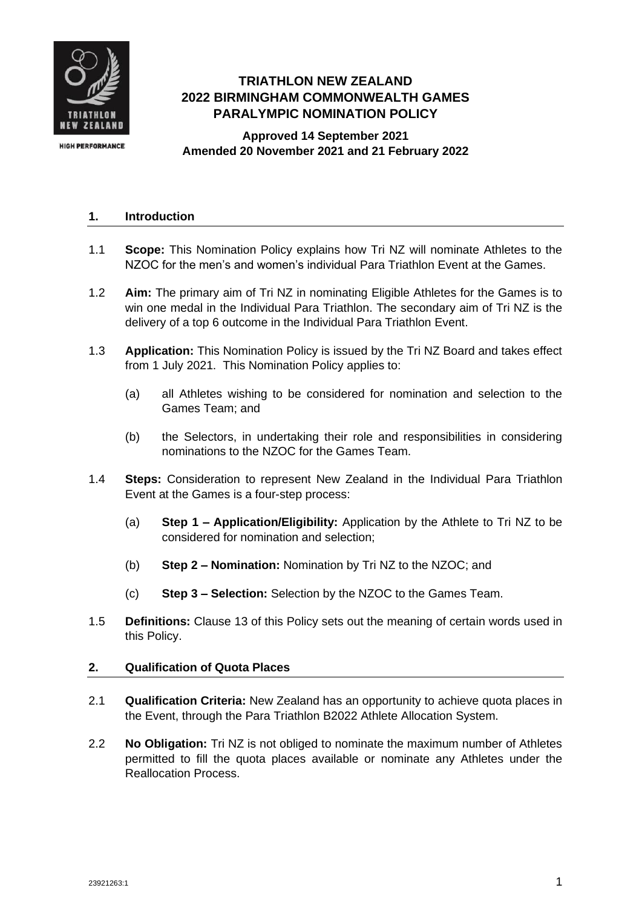

# **TRIATHLON NEW ZEALAND 2022 BIRMINGHAM COMMONWEALTH GAMES PARALYMPIC NOMINATION POLICY**

**Approved 14 September 2021 Amended 20 November 2021 and 21 February 2022**

# **1. Introduction**

- 1.1 **Scope:** This Nomination Policy explains how Tri NZ will nominate Athletes to the NZOC for the men's and women's individual Para Triathlon Event at the Games.
- 1.2 **Aim:** The primary aim of Tri NZ in nominating Eligible Athletes for the Games is to win one medal in the Individual Para Triathlon. The secondary aim of Tri NZ is the delivery of a top 6 outcome in the Individual Para Triathlon Event.
- <span id="page-0-0"></span>1.3 **Application:** This Nomination Policy is issued by the Tri NZ Board and takes effect from 1 July 2021. This Nomination Policy applies to:
	- (a) all Athletes wishing to be considered for nomination and selection to the Games Team; and
	- (b) the Selectors, in undertaking their role and responsibilities in considering nominations to the NZOC for the Games Team.
- 1.4 **Steps:** Consideration to represent New Zealand in the Individual Para Triathlon Event at the Games is a four-step process:
	- (a) **Step 1 – Application/Eligibility:** Application by the Athlete to Tri NZ to be considered for nomination and selection;
	- (b) **Step 2 – Nomination:** Nomination by Tri NZ to the NZOC; and
	- (c) **Step 3 – Selection:** Selection by the NZOC to the Games Team.
- 1.5 **Definitions:** Clause [13](#page-6-0) of this Policy sets out the meaning of certain words used in this Policy.

# <span id="page-0-1"></span>**2. Qualification of Quota Places**

- 2.1 **Qualification Criteria:** New Zealand has an opportunity to achieve quota places in the Event, through the Para Triathlon B2022 Athlete Allocation System.
- 2.2 **No Obligation:** Tri NZ is not obliged to nominate the maximum number of Athletes permitted to fill the quota places available or nominate any Athletes under the Reallocation Process.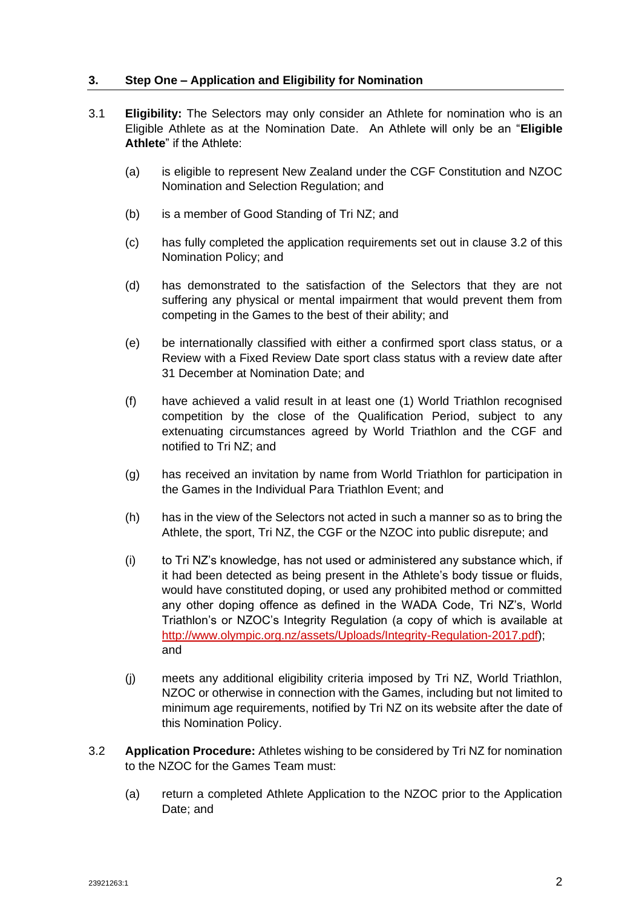# <span id="page-1-2"></span>**3. Step One – Application and Eligibility for Nomination**

- <span id="page-1-1"></span>3.1 **Eligibility:** The Selectors may only consider an Athlete for nomination who is an Eligible Athlete as at the Nomination Date. An Athlete will only be an "**Eligible Athlete**" if the Athlete:
	- (a) is eligible to represent New Zealand under the CGF Constitution and NZOC Nomination and Selection Regulation; and
	- (b) is a member of Good Standing of Tri NZ; and
	- (c) has fully completed the application requirements set out in clause [3.2](#page-1-0) of this Nomination Policy; and
	- (d) has demonstrated to the satisfaction of the Selectors that they are not suffering any physical or mental impairment that would prevent them from competing in the Games to the best of their ability; and
	- (e) be internationally classified with either a confirmed sport class status, or a Review with a Fixed Review Date sport class status with a review date after 31 December at Nomination Date; and
	- (f) have achieved a valid result in at least one (1) World Triathlon recognised competition by the close of the Qualification Period, subject to any extenuating circumstances agreed by World Triathlon and the CGF and notified to Tri NZ; and
	- (g) has received an invitation by name from World Triathlon for participation in the Games in the Individual Para Triathlon Event; and
	- (h) has in the view of the Selectors not acted in such a manner so as to bring the Athlete, the sport, Tri NZ, the CGF or the NZOC into public disrepute; and
	- (i) to Tri NZ's knowledge, has not used or administered any substance which, if it had been detected as being present in the Athlete's body tissue or fluids, would have constituted doping, or used any prohibited method or committed any other doping offence as defined in the WADA Code, Tri NZ's, World Triathlon's or NZOC's Integrity Regulation (a copy of which is available at [http://www.olympic.org.nz/assets/Uploads/Integrity-Regulation-2017.pdf\)](http://www.olympic.org.nz/assets/Uploads/Integrity-Regulation-2017.pdf); and
	- (j) meets any additional eligibility criteria imposed by Tri NZ, World Triathlon, NZOC or otherwise in connection with the Games, including but not limited to minimum age requirements, notified by Tri NZ on its website after the date of this Nomination Policy.
- <span id="page-1-0"></span>3.2 **Application Procedure:** Athletes wishing to be considered by Tri NZ for nomination to the NZOC for the Games Team must:
	- (a) return a completed Athlete Application to the NZOC prior to the Application Date; and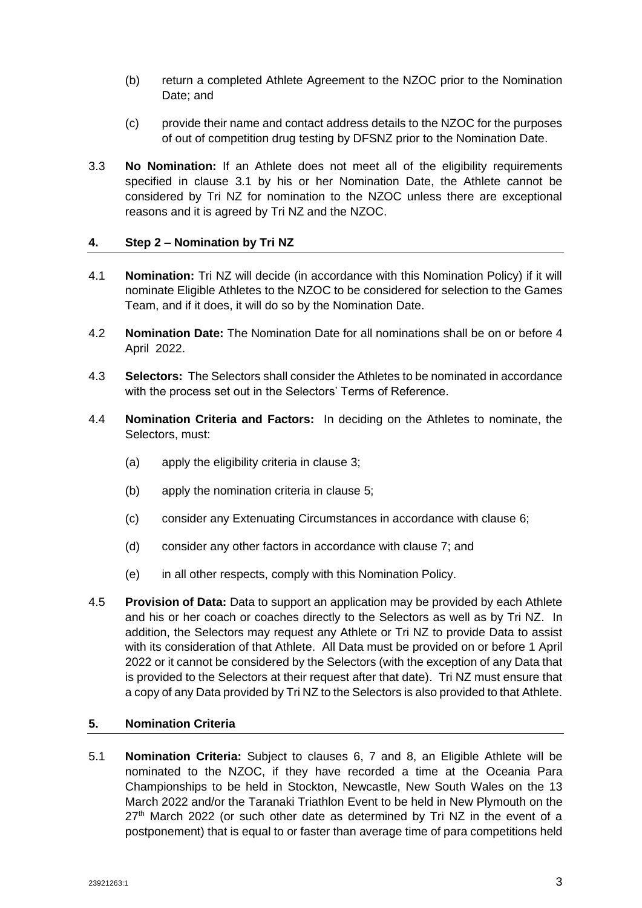- (b) return a completed Athlete Agreement to the NZOC prior to the Nomination Date; and
- (c) provide their name and contact address details to the NZOC for the purposes of out of competition drug testing by DFSNZ prior to the Nomination Date.
- 3.3 **No Nomination:** If an Athlete does not meet all of the eligibility requirements specified in clause [3.1](#page-1-1) by his or her Nomination Date, the Athlete cannot be considered by Tri NZ for nomination to the NZOC unless there are exceptional reasons and it is agreed by Tri NZ and the NZOC.

#### **4. Step 2 – Nomination by Tri NZ**

- 4.1 **Nomination:** Tri NZ will decide (in accordance with this Nomination Policy) if it will nominate Eligible Athletes to the NZOC to be considered for selection to the Games Team, and if it does, it will do so by the Nomination Date.
- 4.2 **Nomination Date:** The Nomination Date for all nominations shall be on or before 4 April 2022.
- 4.3 **Selectors:** The Selectors shall consider the Athletes to be nominated in accordance with the process set out in the Selectors' Terms of Reference.
- 4.4 **Nomination Criteria and Factors:** In deciding on the Athletes to nominate, the Selectors, must:
	- (a) apply the eligibility criteria in clause [3;](#page-1-2)
	- (b) apply the nomination criteria in clause [5;](#page-2-0)
	- (c) consider any Extenuating Circumstances in accordance with clause [6;](#page-3-0)
	- (d) consider any other factors in accordance with clause [7;](#page-3-1) and
	- (e) in all other respects, comply with this Nomination Policy.
- 4.5 **Provision of Data:** Data to support an application may be provided by each Athlete and his or her coach or coaches directly to the Selectors as well as by Tri NZ. In addition, the Selectors may request any Athlete or Tri NZ to provide Data to assist with its consideration of that Athlete. All Data must be provided on or before 1 April 2022 or it cannot be considered by the Selectors (with the exception of any Data that is provided to the Selectors at their request after that date). Tri NZ must ensure that a copy of any Data provided by Tri NZ to the Selectors is also provided to that Athlete.

#### <span id="page-2-0"></span>**5. Nomination Criteria**

5.1 **Nomination Criteria:** Subject to clauses 6, [7](#page-3-1) and [8,](#page-4-0) an Eligible Athlete will be nominated to the NZOC, if they have recorded a time at the Oceania Para Championships to be held in Stockton, Newcastle, New South Wales on the 13 March 2022 and/or the Taranaki Triathlon Event to be held in New Plymouth on the  $27<sup>th</sup>$  March 2022 (or such other date as determined by Tri NZ in the event of a postponement) that is equal to or faster than average time of para competitions held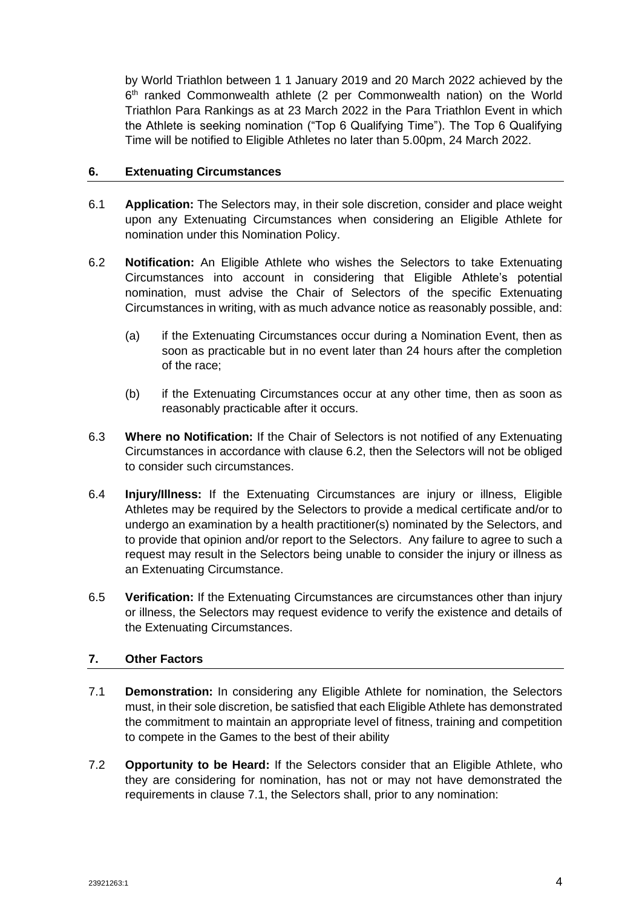by World Triathlon between 1 1 January 2019 and 20 March 2022 achieved by the 6<sup>th</sup> ranked Commonwealth athlete (2 per Commonwealth nation) on the World Triathlon Para Rankings as at 23 March 2022 in the Para Triathlon Event in which the Athlete is seeking nomination ("Top 6 Qualifying Time"). The Top 6 Qualifying Time will be notified to Eligible Athletes no later than 5.00pm, 24 March 2022.

# <span id="page-3-0"></span>**6. Extenuating Circumstances**

- 6.1 **Application:** The Selectors may, in their sole discretion, consider and place weight upon any Extenuating Circumstances when considering an Eligible Athlete for nomination under this Nomination Policy.
- <span id="page-3-2"></span>6.2 **Notification:** An Eligible Athlete who wishes the Selectors to take Extenuating Circumstances into account in considering that Eligible Athlete's potential nomination, must advise the Chair of Selectors of the specific Extenuating Circumstances in writing, with as much advance notice as reasonably possible, and:
	- (a) if the Extenuating Circumstances occur during a Nomination Event, then as soon as practicable but in no event later than 24 hours after the completion of the race;
	- (b) if the Extenuating Circumstances occur at any other time, then as soon as reasonably practicable after it occurs.
- 6.3 **Where no Notification:** If the Chair of Selectors is not notified of any Extenuating Circumstances in accordance with clause [6.2,](#page-3-2) then the Selectors will not be obliged to consider such circumstances.
- 6.4 **Injury/Illness:** If the Extenuating Circumstances are injury or illness, Eligible Athletes may be required by the Selectors to provide a medical certificate and/or to undergo an examination by a health practitioner(s) nominated by the Selectors, and to provide that opinion and/or report to the Selectors. Any failure to agree to such a request may result in the Selectors being unable to consider the injury or illness as an Extenuating Circumstance.
- 6.5 **Verification:** If the Extenuating Circumstances are circumstances other than injury or illness, the Selectors may request evidence to verify the existence and details of the Extenuating Circumstances.

# <span id="page-3-1"></span>**7. Other Factors**

- <span id="page-3-3"></span>7.1 **Demonstration:** In considering any Eligible Athlete for nomination, the Selectors must, in their sole discretion, be satisfied that each Eligible Athlete has demonstrated the commitment to maintain an appropriate level of fitness, training and competition to compete in the Games to the best of their ability
- 7.2 **Opportunity to be Heard:** If the Selectors consider that an Eligible Athlete, who they are considering for nomination, has not or may not have demonstrated the requirements in clause [7.1,](#page-3-3) the Selectors shall, prior to any nomination: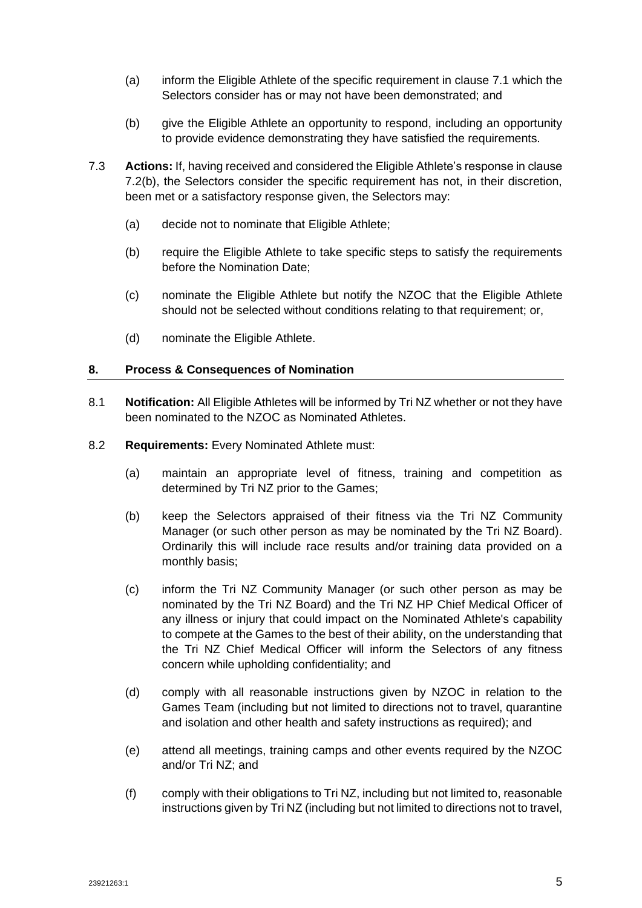- (a) inform the Eligible Athlete of the specific requirement in clause [7.1](#page-3-3) which the Selectors consider has or may not have been demonstrated; and
- <span id="page-4-1"></span>(b) give the Eligible Athlete an opportunity to respond, including an opportunity to provide evidence demonstrating they have satisfied the requirements.
- 7.3 **Actions:** If, having received and considered the Eligible Athlete's response in clause [7.2\(b\),](#page-4-1) the Selectors consider the specific requirement has not, in their discretion, been met or a satisfactory response given, the Selectors may:
	- (a) decide not to nominate that Eligible Athlete;
	- (b) require the Eligible Athlete to take specific steps to satisfy the requirements before the Nomination Date;
	- (c) nominate the Eligible Athlete but notify the NZOC that the Eligible Athlete should not be selected without conditions relating to that requirement; or,
	- (d) nominate the Eligible Athlete.

#### <span id="page-4-0"></span>**8. Process & Consequences of Nomination**

- 8.1 **Notification:** All Eligible Athletes will be informed by Tri NZ whether or not they have been nominated to the NZOC as Nominated Athletes.
- 8.2 **Requirements:** Every Nominated Athlete must:
	- (a) maintain an appropriate level of fitness, training and competition as determined by Tri NZ prior to the Games;
	- (b) keep the Selectors appraised of their fitness via the Tri NZ Community Manager (or such other person as may be nominated by the Tri NZ Board). Ordinarily this will include race results and/or training data provided on a monthly basis;
	- (c) inform the Tri NZ Community Manager (or such other person as may be nominated by the Tri NZ Board) and the Tri NZ HP Chief Medical Officer of any illness or injury that could impact on the Nominated Athlete's capability to compete at the Games to the best of their ability, on the understanding that the Tri NZ Chief Medical Officer will inform the Selectors of any fitness concern while upholding confidentiality; and
	- (d) comply with all reasonable instructions given by NZOC in relation to the Games Team (including but not limited to directions not to travel, quarantine and isolation and other health and safety instructions as required); and
	- (e) attend all meetings, training camps and other events required by the NZOC and/or Tri NZ; and
	- (f) comply with their obligations to Tri NZ, including but not limited to, reasonable instructions given by Tri NZ (including but not limited to directions not to travel,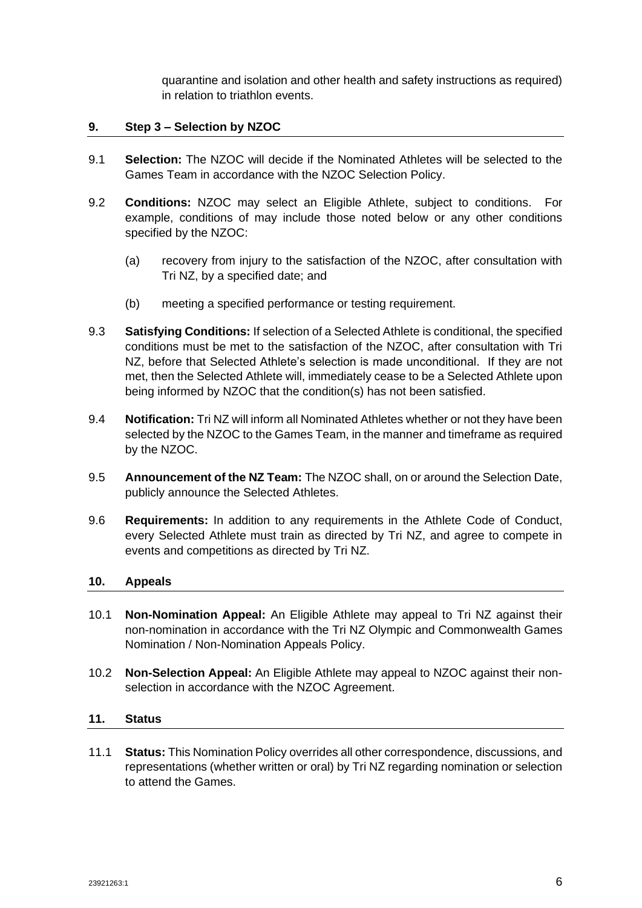quarantine and isolation and other health and safety instructions as required) in relation to triathlon events.

# **9. Step 3 – Selection by NZOC**

- 9.1 **Selection:** The NZOC will decide if the Nominated Athletes will be selected to the Games Team in accordance with the NZOC Selection Policy.
- 9.2 **Conditions:** NZOC may select an Eligible Athlete, subject to conditions. For example, conditions of may include those noted below or any other conditions specified by the NZOC:
	- (a) recovery from injury to the satisfaction of the NZOC, after consultation with Tri NZ, by a specified date; and
	- (b) meeting a specified performance or testing requirement.
- 9.3 **Satisfying Conditions:** If selection of a Selected Athlete is conditional, the specified conditions must be met to the satisfaction of the NZOC, after consultation with Tri NZ, before that Selected Athlete's selection is made unconditional. If they are not met, then the Selected Athlete will, immediately cease to be a Selected Athlete upon being informed by NZOC that the condition(s) has not been satisfied.
- 9.4 **Notification:** Tri NZ will inform all Nominated Athletes whether or not they have been selected by the NZOC to the Games Team, in the manner and timeframe as required by the NZOC.
- 9.5 **Announcement of the NZ Team:** The NZOC shall, on or around the Selection Date, publicly announce the Selected Athletes.
- 9.6 **Requirements:** In addition to any requirements in the Athlete Code of Conduct, every Selected Athlete must train as directed by Tri NZ, and agree to compete in events and competitions as directed by Tri NZ.

#### **10. Appeals**

- 10.1 **Non-Nomination Appeal:** An Eligible Athlete may appeal to Tri NZ against their non-nomination in accordance with the Tri NZ Olympic and Commonwealth Games Nomination / Non-Nomination Appeals Policy.
- 10.2 **Non-Selection Appeal:** An Eligible Athlete may appeal to NZOC against their nonselection in accordance with the NZOC Agreement.

#### **11. Status**

11.1 **Status:** This Nomination Policy overrides all other correspondence, discussions, and representations (whether written or oral) by Tri NZ regarding nomination or selection to attend the Games.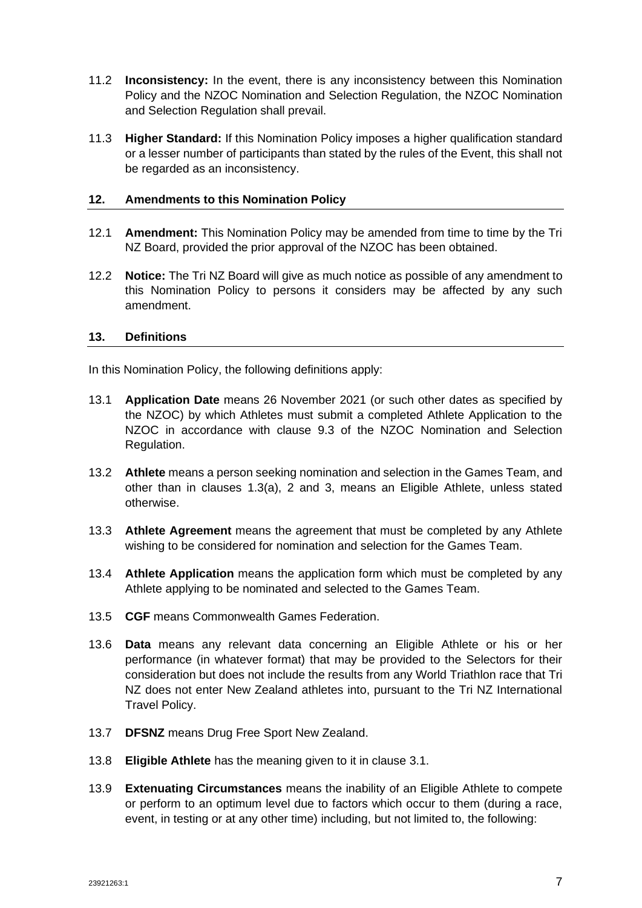- 11.2 **Inconsistency:** In the event, there is any inconsistency between this Nomination Policy and the NZOC Nomination and Selection Regulation, the NZOC Nomination and Selection Regulation shall prevail.
- 11.3 **Higher Standard:** If this Nomination Policy imposes a higher qualification standard or a lesser number of participants than stated by the rules of the Event, this shall not be regarded as an inconsistency.

#### **12. Amendments to this Nomination Policy**

- 12.1 **Amendment:** This Nomination Policy may be amended from time to time by the Tri NZ Board, provided the prior approval of the NZOC has been obtained.
- 12.2 **Notice:** The Tri NZ Board will give as much notice as possible of any amendment to this Nomination Policy to persons it considers may be affected by any such amendment.

#### <span id="page-6-0"></span>**13. Definitions**

In this Nomination Policy, the following definitions apply:

- 13.1 **Application Date** means 26 November 2021 (or such other dates as specified by the NZOC) by which Athletes must submit a completed Athlete Application to the NZOC in accordance with clause 9.3 of the NZOC Nomination and Selection Regulation.
- 13.2 **Athlete** means a person seeking nomination and selection in the Games Team, and other than in clauses [1.3\(a\),](#page-0-0) [2](#page-0-1) and [3,](#page-1-2) means an Eligible Athlete, unless stated otherwise.
- 13.3 **Athlete Agreement** means the agreement that must be completed by any Athlete wishing to be considered for nomination and selection for the Games Team.
- 13.4 **Athlete Application** means the application form which must be completed by any Athlete applying to be nominated and selected to the Games Team.
- 13.5 **CGF** means Commonwealth Games Federation.
- 13.6 **Data** means any relevant data concerning an Eligible Athlete or his or her performance (in whatever format) that may be provided to the Selectors for their consideration but does not include the results from any World Triathlon race that Tri NZ does not enter New Zealand athletes into, pursuant to the Tri NZ International Travel Policy.
- 13.7 **DFSNZ** means Drug Free Sport New Zealand.
- 13.8 **Eligible Athlete** has the meaning given to it in clause [3.1.](#page-1-1)
- 13.9 **Extenuating Circumstances** means the inability of an Eligible Athlete to compete or perform to an optimum level due to factors which occur to them (during a race, event, in testing or at any other time) including, but not limited to, the following: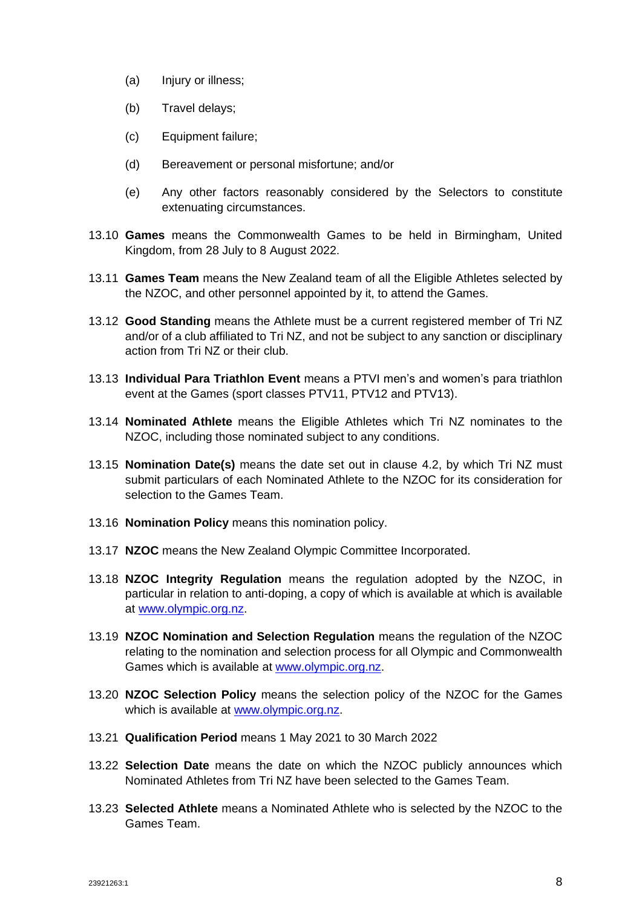- (a) Injury or illness;
- (b) Travel delays;
- (c) Equipment failure;
- (d) Bereavement or personal misfortune; and/or
- (e) Any other factors reasonably considered by the Selectors to constitute extenuating circumstances.
- 13.10 **Games** means the Commonwealth Games to be held in Birmingham, United Kingdom, from 28 July to 8 August 2022.
- 13.11 **Games Team** means the New Zealand team of all the Eligible Athletes selected by the NZOC, and other personnel appointed by it, to attend the Games.
- 13.12 **Good Standing** means the Athlete must be a current registered member of Tri NZ and/or of a club affiliated to Tri NZ, and not be subject to any sanction or disciplinary action from Tri NZ or their club.
- 13.13 **Individual Para Triathlon Event** means a PTVI men's and women's para triathlon event at the Games (sport classes PTV11, PTV12 and PTV13).
- 13.14 **Nominated Athlete** means the Eligible Athletes which Tri NZ nominates to the NZOC, including those nominated subject to any conditions.
- 13.15 **Nomination Date(s)** means the date set out in clause 4.2, by which Tri NZ must submit particulars of each Nominated Athlete to the NZOC for its consideration for selection to the Games Team.
- 13.16 **Nomination Policy** means this nomination policy.
- 13.17 **NZOC** means the New Zealand Olympic Committee Incorporated.
- 13.18 **NZOC Integrity Regulation** means the regulation adopted by the NZOC, in particular in relation to anti-doping, a copy of which is available at which is available at [www.olympic.org.nz.](http://www.olympic.org.nz/)
- 13.19 **NZOC Nomination and Selection Regulation** means the regulation of the NZOC relating to the nomination and selection process for all Olympic and Commonwealth Games which is available at [www.olympic.org.nz.](http://www.olympic.org.nz/)
- 13.20 **NZOC Selection Policy** means the selection policy of the NZOC for the Games which is available at [www.olympic.org.nz.](http://www.olympic.org.nz/)
- 13.21 **Qualification Period** means 1 May 2021 to 30 March 2022
- 13.22 **Selection Date** means the date on which the NZOC publicly announces which Nominated Athletes from Tri NZ have been selected to the Games Team.
- 13.23 **Selected Athlete** means a Nominated Athlete who is selected by the NZOC to the Games Team.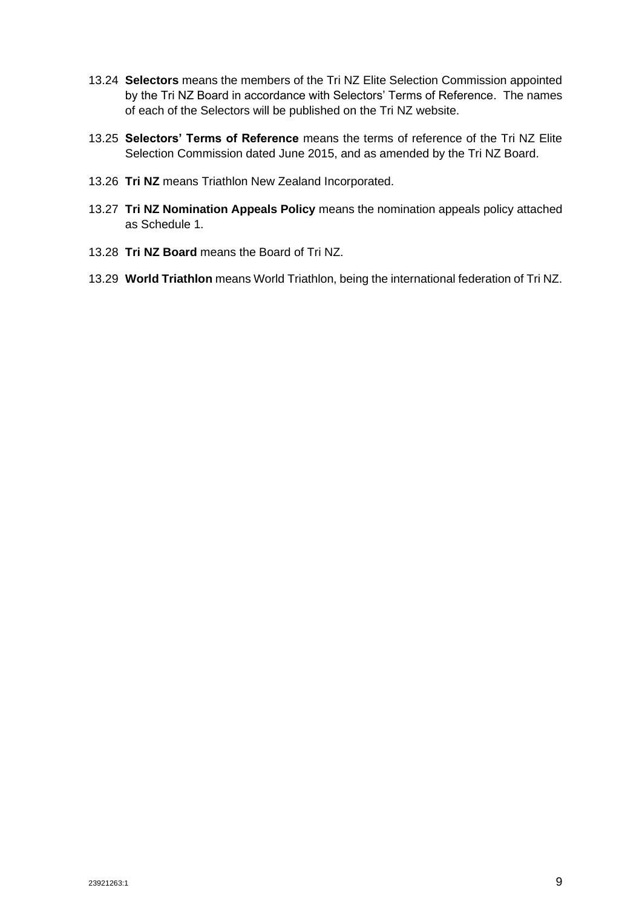- 13.24 **Selectors** means the members of the Tri NZ Elite Selection Commission appointed by the Tri NZ Board in accordance with Selectors' Terms of Reference. The names of each of the Selectors will be published on the Tri NZ website.
- 13.25 **Selectors' Terms of Reference** means the terms of reference of the Tri NZ Elite Selection Commission dated June 2015, and as amended by the Tri NZ Board.
- 13.26 **Tri NZ** means Triathlon New Zealand Incorporated.
- 13.27 **Tri NZ Nomination Appeals Policy** means the nomination appeals policy attached as Schedule 1.
- 13.28 **Tri NZ Board** means the Board of Tri NZ.
- 13.29 **World Triathlon** means World Triathlon, being the international federation of Tri NZ.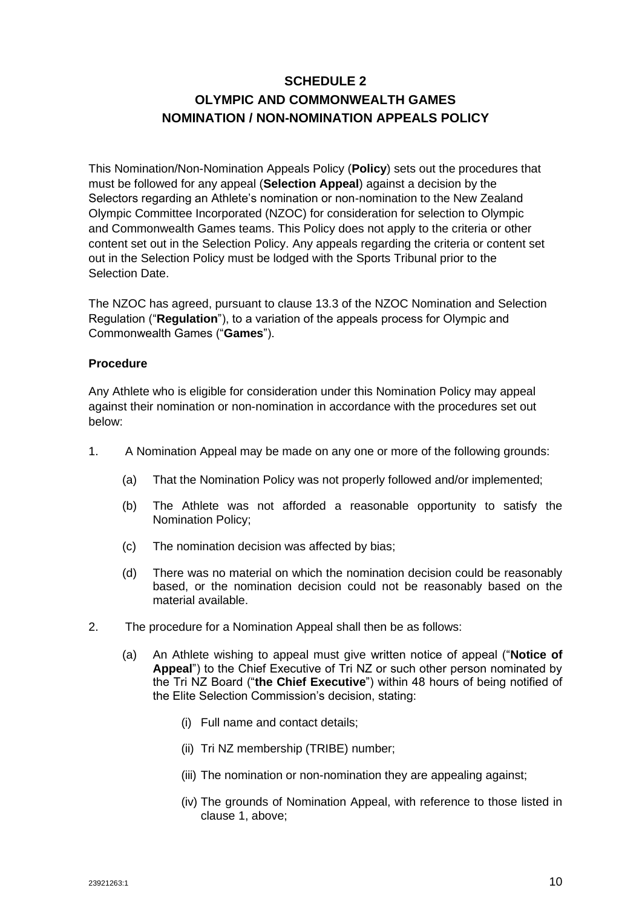# **SCHEDULE 2 OLYMPIC AND COMMONWEALTH GAMES NOMINATION / NON-NOMINATION APPEALS POLICY**

This Nomination/Non-Nomination Appeals Policy (**Policy**) sets out the procedures that must be followed for any appeal (**Selection Appeal**) against a decision by the Selectors regarding an Athlete's nomination or non-nomination to the New Zealand Olympic Committee Incorporated (NZOC) for consideration for selection to Olympic and Commonwealth Games teams. This Policy does not apply to the criteria or other content set out in the Selection Policy. Any appeals regarding the criteria or content set out in the Selection Policy must be lodged with the Sports Tribunal prior to the Selection Date.

The NZOC has agreed, pursuant to clause 13.3 of the NZOC Nomination and Selection Regulation ("**Regulation**"), to a variation of the appeals process for Olympic and Commonwealth Games ("**Games**").

# **Procedure**

Any Athlete who is eligible for consideration under this Nomination Policy may appeal against their nomination or non-nomination in accordance with the procedures set out below:

- 1. A Nomination Appeal may be made on any one or more of the following grounds:
	- (a) That the Nomination Policy was not properly followed and/or implemented;
	- (b) The Athlete was not afforded a reasonable opportunity to satisfy the Nomination Policy;
	- (c) The nomination decision was affected by bias;
	- (d) There was no material on which the nomination decision could be reasonably based, or the nomination decision could not be reasonably based on the material available.
- 2. The procedure for a Nomination Appeal shall then be as follows:
	- (a) An Athlete wishing to appeal must give written notice of appeal ("**Notice of Appeal**") to the Chief Executive of Tri NZ or such other person nominated by the Tri NZ Board ("**the Chief Executive**") within 48 hours of being notified of the Elite Selection Commission's decision, stating:
		- (i) Full name and contact details;
		- (ii) Tri NZ membership (TRIBE) number;
		- (iii) The nomination or non-nomination they are appealing against;
		- (iv) The grounds of Nomination Appeal, with reference to those listed in clause 1, above;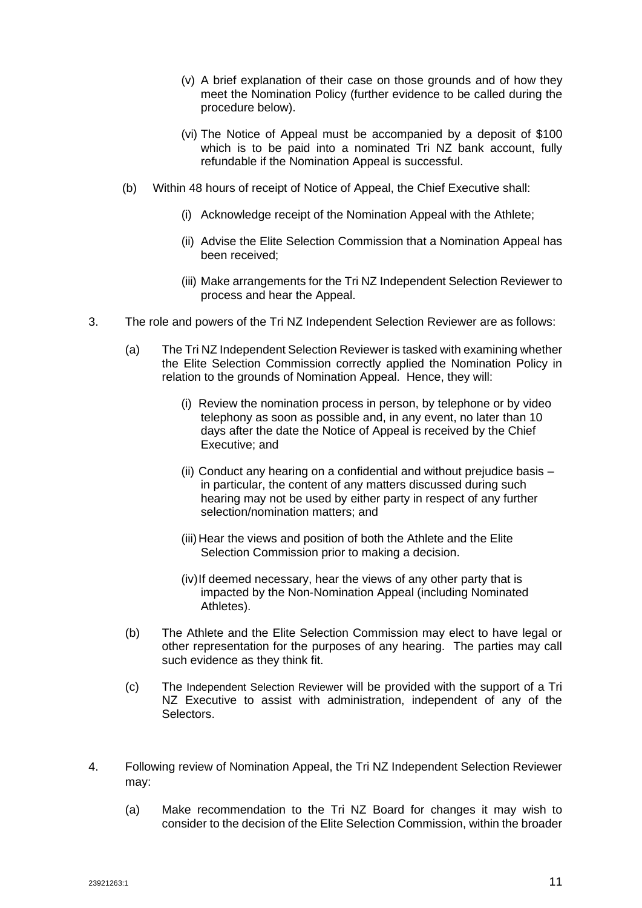- (v) A brief explanation of their case on those grounds and of how they meet the Nomination Policy (further evidence to be called during the procedure below).
- (vi) The Notice of Appeal must be accompanied by a deposit of \$100 which is to be paid into a nominated Tri NZ bank account, fully refundable if the Nomination Appeal is successful.
- (b) Within 48 hours of receipt of Notice of Appeal, the Chief Executive shall:
	- (i) Acknowledge receipt of the Nomination Appeal with the Athlete;
	- (ii) Advise the Elite Selection Commission that a Nomination Appeal has been received;
	- (iii) Make arrangements for the Tri NZ Independent Selection Reviewer to process and hear the Appeal.
- 3. The role and powers of the Tri NZ Independent Selection Reviewer are as follows:
	- (a) The Tri NZ Independent Selection Reviewer is tasked with examining whether the Elite Selection Commission correctly applied the Nomination Policy in relation to the grounds of Nomination Appeal. Hence, they will:
		- (i) Review the nomination process in person, by telephone or by video telephony as soon as possible and, in any event, no later than 10 days after the date the Notice of Appeal is received by the Chief Executive; and
		- (ii) Conduct any hearing on a confidential and without prejudice basis in particular, the content of any matters discussed during such hearing may not be used by either party in respect of any further selection/nomination matters; and
		- (iii) Hear the views and position of both the Athlete and the Elite Selection Commission prior to making a decision.
		- (iv)If deemed necessary, hear the views of any other party that is impacted by the Non-Nomination Appeal (including Nominated Athletes).
	- (b) The Athlete and the Elite Selection Commission may elect to have legal or other representation for the purposes of any hearing. The parties may call such evidence as they think fit.
	- (c) The Independent Selection Reviewer will be provided with the support of a Tri NZ Executive to assist with administration, independent of any of the Selectors.
- 4. Following review of Nomination Appeal, the Tri NZ Independent Selection Reviewer may:
	- (a) Make recommendation to the Tri NZ Board for changes it may wish to consider to the decision of the Elite Selection Commission, within the broader